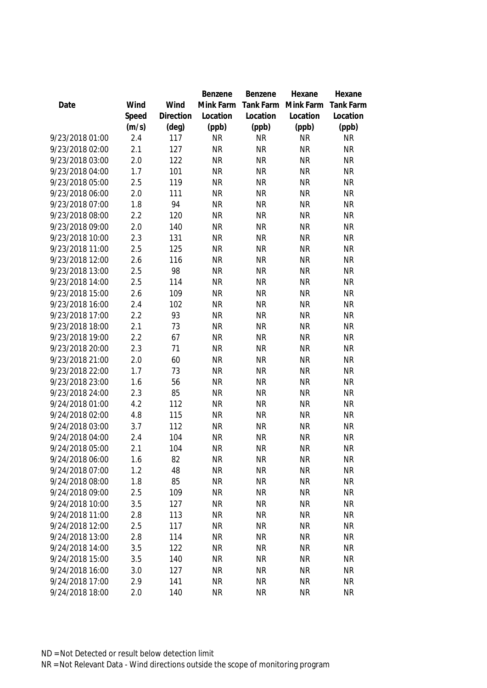|                 |       |                | Benzene   | Benzene   | Hexane    | Hexane           |
|-----------------|-------|----------------|-----------|-----------|-----------|------------------|
| Date            | Wind  | Wind           | Mink Farm | Tank Farm | Mink Farm | <b>Tank Farm</b> |
|                 | Speed | Direction      | Location  | Location  | Location  | Location         |
|                 | (m/s) | $(\text{deg})$ | (ppb)     | (ppb)     | (ppb)     | (ppb)            |
| 9/23/2018 01:00 | 2.4   | 117            | <b>NR</b> | <b>NR</b> | <b>NR</b> | <b>NR</b>        |
| 9/23/2018 02:00 | 2.1   | 127            | <b>NR</b> | <b>NR</b> | <b>NR</b> | <b>NR</b>        |
| 9/23/2018 03:00 | 2.0   | 122            | <b>NR</b> | <b>NR</b> | <b>NR</b> | <b>NR</b>        |
| 9/23/2018 04:00 | 1.7   | 101            | <b>NR</b> | <b>NR</b> | <b>NR</b> | <b>NR</b>        |
| 9/23/2018 05:00 | 2.5   | 119            | <b>NR</b> | <b>NR</b> | <b>NR</b> | <b>NR</b>        |
| 9/23/2018 06:00 | 2.0   | 111            | <b>NR</b> | <b>NR</b> | <b>NR</b> | <b>NR</b>        |
| 9/23/2018 07:00 | 1.8   | 94             | <b>NR</b> | <b>NR</b> | <b>NR</b> | <b>NR</b>        |
| 9/23/2018 08:00 | 2.2   | 120            | <b>NR</b> | <b>NR</b> | <b>NR</b> | <b>NR</b>        |
| 9/23/2018 09:00 | 2.0   | 140            | <b>NR</b> | <b>NR</b> | <b>NR</b> | <b>NR</b>        |
| 9/23/2018 10:00 | 2.3   | 131            | <b>NR</b> | <b>NR</b> | <b>NR</b> | <b>NR</b>        |
| 9/23/2018 11:00 | 2.5   | 125            | <b>NR</b> | <b>NR</b> | <b>NR</b> | <b>NR</b>        |
| 9/23/2018 12:00 | 2.6   | 116            | <b>NR</b> | <b>NR</b> | <b>NR</b> | <b>NR</b>        |
| 9/23/2018 13:00 | 2.5   | 98             | <b>NR</b> | <b>NR</b> | <b>NR</b> | <b>NR</b>        |
| 9/23/2018 14:00 | 2.5   | 114            | <b>NR</b> | <b>NR</b> | <b>NR</b> | <b>NR</b>        |
| 9/23/2018 15:00 | 2.6   | 109            | <b>NR</b> | <b>NR</b> | <b>NR</b> | <b>NR</b>        |
| 9/23/2018 16:00 | 2.4   | 102            | <b>NR</b> | <b>NR</b> | <b>NR</b> | <b>NR</b>        |
| 9/23/2018 17:00 | 2.2   | 93             | <b>NR</b> | <b>NR</b> | <b>NR</b> | <b>NR</b>        |
| 9/23/2018 18:00 | 2.1   | 73             | <b>NR</b> | <b>NR</b> | <b>NR</b> | <b>NR</b>        |
| 9/23/2018 19:00 | 2.2   | 67             | <b>NR</b> | <b>NR</b> | <b>NR</b> | <b>NR</b>        |
| 9/23/2018 20:00 | 2.3   | 71             | <b>NR</b> | <b>NR</b> | <b>NR</b> | <b>NR</b>        |
| 9/23/2018 21:00 | 2.0   | 60             | <b>NR</b> | <b>NR</b> | <b>NR</b> | <b>NR</b>        |
| 9/23/2018 22:00 | 1.7   | 73             | <b>NR</b> | <b>NR</b> | <b>NR</b> | <b>NR</b>        |
| 9/23/2018 23:00 | 1.6   | 56             | <b>NR</b> | <b>NR</b> | <b>NR</b> | <b>NR</b>        |
| 9/23/2018 24:00 | 2.3   | 85             | <b>NR</b> | <b>NR</b> | <b>NR</b> | <b>NR</b>        |
| 9/24/2018 01:00 | 4.2   | 112            | <b>NR</b> | <b>NR</b> | <b>NR</b> | <b>NR</b>        |
| 9/24/2018 02:00 | 4.8   | 115            | <b>NR</b> | <b>NR</b> | <b>NR</b> | <b>NR</b>        |
| 9/24/2018 03:00 | 3.7   | 112            | <b>NR</b> | <b>NR</b> | <b>NR</b> | <b>NR</b>        |
| 9/24/2018 04:00 | 2.4   | 104            | <b>NR</b> | <b>NR</b> | <b>NR</b> | <b>NR</b>        |
| 9/24/2018 05:00 | 2.1   | 104            | <b>NR</b> | <b>NR</b> | <b>NR</b> | <b>NR</b>        |
| 9/24/2018 06:00 | 1.6   | 82             | <b>NR</b> | <b>NR</b> | <b>NR</b> | NR               |
| 9/24/2018 07:00 | 1.2   | 48             | <b>NR</b> | <b>NR</b> | <b>NR</b> | <b>NR</b>        |
| 9/24/2018 08:00 | 1.8   | 85             | <b>NR</b> | <b>NR</b> | <b>NR</b> | <b>NR</b>        |
| 9/24/2018 09:00 | 2.5   | 109            | <b>NR</b> | <b>NR</b> | <b>NR</b> | <b>NR</b>        |
| 9/24/2018 10:00 | 3.5   | 127            | <b>NR</b> | <b>NR</b> | <b>NR</b> | <b>NR</b>        |
| 9/24/2018 11:00 | 2.8   | 113            | <b>NR</b> | <b>NR</b> | <b>NR</b> | <b>NR</b>        |
| 9/24/2018 12:00 | 2.5   | 117            | <b>NR</b> | <b>NR</b> | <b>NR</b> | <b>NR</b>        |
| 9/24/2018 13:00 | 2.8   | 114            | <b>NR</b> | <b>NR</b> | <b>NR</b> | <b>NR</b>        |
| 9/24/2018 14:00 | 3.5   | 122            | <b>NR</b> | <b>NR</b> | <b>NR</b> | NR               |
| 9/24/2018 15:00 | 3.5   | 140            | <b>NR</b> | <b>NR</b> | <b>NR</b> | <b>NR</b>        |
| 9/24/2018 16:00 | 3.0   | 127            | <b>NR</b> | <b>NR</b> | <b>NR</b> | <b>NR</b>        |
| 9/24/2018 17:00 | 2.9   | 141            | <b>NR</b> | <b>NR</b> | <b>NR</b> | <b>NR</b>        |
| 9/24/2018 18:00 | 2.0   | 140            | <b>NR</b> | <b>NR</b> | <b>NR</b> | <b>NR</b>        |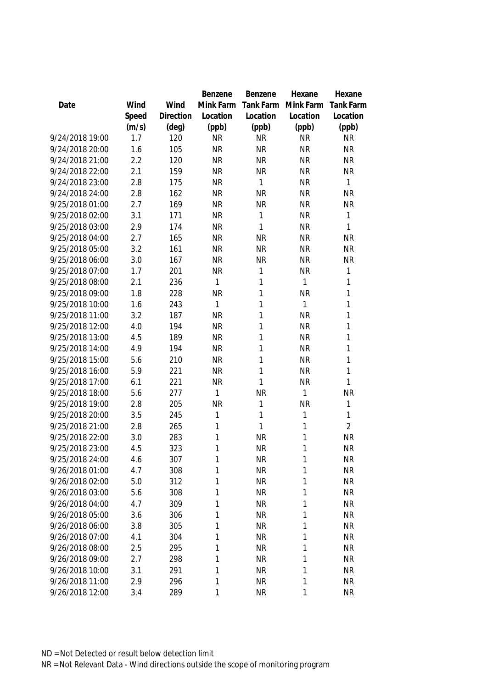|                 |       |                | Benzene   | Benzene   | Hexane       | Hexane           |
|-----------------|-------|----------------|-----------|-----------|--------------|------------------|
| Date            | Wind  | Wind           | Mink Farm | Tank Farm | Mink Farm    | <b>Tank Farm</b> |
|                 | Speed | Direction      | Location  | Location  | Location     | Location         |
|                 | (m/s) | $(\text{deg})$ | (ppb)     | (ppb)     | (ppb)        | (ppb)            |
| 9/24/2018 19:00 | 1.7   | 120            | <b>NR</b> | <b>NR</b> | <b>NR</b>    | <b>NR</b>        |
| 9/24/2018 20:00 | 1.6   | 105            | <b>NR</b> | <b>NR</b> | <b>NR</b>    | <b>NR</b>        |
| 9/24/2018 21:00 | 2.2   | 120            | <b>NR</b> | <b>NR</b> | <b>NR</b>    | <b>NR</b>        |
| 9/24/2018 22:00 | 2.1   | 159            | <b>NR</b> | <b>NR</b> | <b>NR</b>    | <b>NR</b>        |
| 9/24/2018 23:00 | 2.8   | 175            | <b>NR</b> | 1         | <b>NR</b>    | 1                |
| 9/24/2018 24:00 | 2.8   | 162            | <b>NR</b> | <b>NR</b> | <b>NR</b>    | <b>NR</b>        |
| 9/25/2018 01:00 | 2.7   | 169            | <b>NR</b> | <b>NR</b> | <b>NR</b>    | <b>NR</b>        |
| 9/25/2018 02:00 | 3.1   | 171            | <b>NR</b> | 1         | <b>NR</b>    | $\mathbf{1}$     |
| 9/25/2018 03:00 | 2.9   | 174            | <b>NR</b> | 1         | <b>NR</b>    | 1                |
| 9/25/2018 04:00 | 2.7   | 165            | <b>NR</b> | <b>NR</b> | <b>NR</b>    | <b>NR</b>        |
| 9/25/2018 05:00 | 3.2   | 161            | <b>NR</b> | <b>NR</b> | <b>NR</b>    | <b>NR</b>        |
| 9/25/2018 06:00 | 3.0   | 167            | <b>NR</b> | <b>NR</b> | <b>NR</b>    | <b>NR</b>        |
| 9/25/2018 07:00 | 1.7   | 201            | <b>NR</b> | 1         | <b>NR</b>    | 1                |
| 9/25/2018 08:00 | 2.1   | 236            | 1         | 1         | 1            | 1                |
| 9/25/2018 09:00 | 1.8   | 228            | <b>NR</b> | 1         | <b>NR</b>    | 1                |
| 9/25/2018 10:00 | 1.6   | 243            | 1         | 1         | 1            | 1                |
| 9/25/2018 11:00 | 3.2   | 187            | <b>NR</b> | 1         | <b>NR</b>    | 1                |
| 9/25/2018 12:00 | 4.0   | 194            | <b>NR</b> | 1         | <b>NR</b>    | 1                |
| 9/25/2018 13:00 | 4.5   | 189            | <b>NR</b> | 1         | <b>NR</b>    | 1                |
| 9/25/2018 14:00 | 4.9   | 194            | <b>NR</b> | 1         | <b>NR</b>    | 1                |
| 9/25/2018 15:00 | 5.6   | 210            | <b>NR</b> | 1         | <b>NR</b>    | 1                |
| 9/25/2018 16:00 | 5.9   | 221            | <b>NR</b> | 1         | <b>NR</b>    | 1                |
| 9/25/2018 17:00 | 6.1   | 221            | <b>NR</b> | 1         | <b>NR</b>    | 1                |
| 9/25/2018 18:00 | 5.6   | 277            | 1         | <b>NR</b> | 1            | <b>NR</b>        |
| 9/25/2018 19:00 | 2.8   | 205            | <b>NR</b> | 1         | <b>NR</b>    | 1                |
| 9/25/2018 20:00 | 3.5   | 245            | 1         | 1         | 1            | 1                |
| 9/25/2018 21:00 | 2.8   | 265            | 1         | 1         | 1            | $\overline{2}$   |
| 9/25/2018 22:00 | 3.0   | 283            | 1         | <b>NR</b> | 1            | <b>NR</b>        |
| 9/25/2018 23:00 | 4.5   | 323            | 1         | <b>NR</b> | 1            | <b>NR</b>        |
| 9/25/2018 24:00 | 4.6   | 307            | 1         | <b>NR</b> | 1            | <b>NR</b>        |
| 9/26/2018 01:00 | 4.7   | 308            | 1         | <b>NR</b> | 1            | <b>NR</b>        |
| 9/26/2018 02:00 | 5.0   | 312            | 1         | <b>NR</b> | 1            | <b>NR</b>        |
| 9/26/2018 03:00 | 5.6   | 308            | 1         | <b>NR</b> | 1            | <b>NR</b>        |
| 9/26/2018 04:00 | 4.7   | 309            | 1         | <b>NR</b> | 1            | <b>NR</b>        |
| 9/26/2018 05:00 | 3.6   | 306            | 1         | <b>NR</b> | 1            | <b>NR</b>        |
| 9/26/2018 06:00 | 3.8   | 305            | 1         | <b>NR</b> | 1            | <b>NR</b>        |
| 9/26/2018 07:00 | 4.1   | 304            | 1         | <b>NR</b> | $\mathbf{1}$ | <b>NR</b>        |
| 9/26/2018 08:00 | 2.5   | 295            | 1         | <b>NR</b> | 1            | <b>NR</b>        |
| 9/26/2018 09:00 | 2.7   | 298            | 1         | <b>NR</b> | 1            | <b>NR</b>        |
| 9/26/2018 10:00 | 3.1   | 291            | 1         | <b>NR</b> | $\mathbf{1}$ | <b>NR</b>        |
| 9/26/2018 11:00 | 2.9   | 296            | 1         | <b>NR</b> | 1            | <b>NR</b>        |
| 9/26/2018 12:00 | 3.4   | 289            | 1         | <b>NR</b> | 1            | <b>NR</b>        |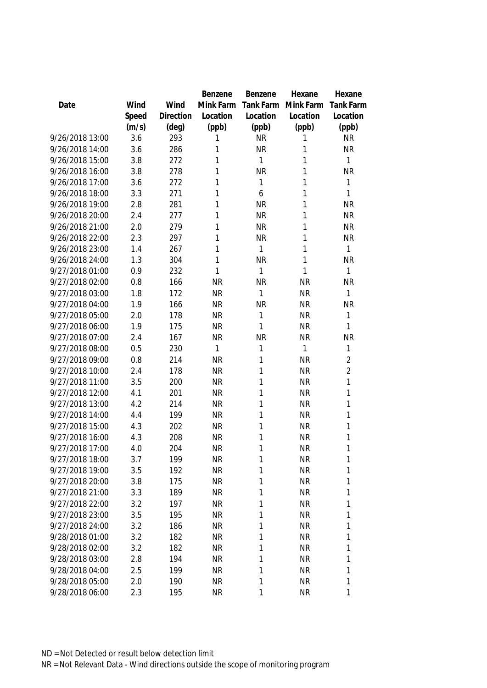|                 |       |           | Benzene   | Benzene     | Hexane    | Hexane           |
|-----------------|-------|-----------|-----------|-------------|-----------|------------------|
| Date            | Wind  | Wind      | Mink Farm | Tank Farm   | Mink Farm | <b>Tank Farm</b> |
|                 | Speed | Direction | Location  | Location    | Location  | Location         |
|                 | (m/s) | (deg)     | (ppb)     | (ppb)       | (ppb)     | (ppb)            |
| 9/26/2018 13:00 | 3.6   | 293       | 1         | <b>NR</b>   | 1         | <b>NR</b>        |
| 9/26/2018 14:00 | 3.6   | 286       | 1         | <b>NR</b>   | 1         | <b>NR</b>        |
| 9/26/2018 15:00 | 3.8   | 272       | 1         | 1           | 1         | $\mathbf{1}$     |
| 9/26/2018 16:00 | 3.8   | 278       | 1         | <b>NR</b>   | 1         | <b>NR</b>        |
| 9/26/2018 17:00 | 3.6   | 272       | 1         | 1           | 1         | 1                |
| 9/26/2018 18:00 | 3.3   | 271       | 1         | 6           | 1         | 1                |
| 9/26/2018 19:00 | 2.8   | 281       | 1         | <b>NR</b>   | 1         | <b>NR</b>        |
| 9/26/2018 20:00 | 2.4   | 277       | 1         | <b>NR</b>   | 1         | <b>NR</b>        |
| 9/26/2018 21:00 | 2.0   | 279       | 1         | <b>NR</b>   | 1         | <b>NR</b>        |
| 9/26/2018 22:00 | 2.3   | 297       | 1         | <b>NR</b>   | 1         | <b>NR</b>        |
| 9/26/2018 23:00 | 1.4   | 267       | 1         | 1           | 1         | $\mathbf{1}$     |
| 9/26/2018 24:00 | 1.3   | 304       | 1         | <b>NR</b>   | 1         | <b>NR</b>        |
| 9/27/2018 01:00 | 0.9   | 232       | 1         | 1           | 1         | 1                |
| 9/27/2018 02:00 | 0.8   | 166       | <b>NR</b> | <b>NR</b>   | <b>NR</b> | <b>NR</b>        |
| 9/27/2018 03:00 | 1.8   | 172       | <b>NR</b> | 1           | <b>NR</b> | $\mathbf{1}$     |
| 9/27/2018 04:00 | 1.9   | 166       | <b>NR</b> | <b>NR</b>   | <b>NR</b> | <b>NR</b>        |
| 9/27/2018 05:00 | 2.0   | 178       | <b>NR</b> | 1           | <b>NR</b> | 1                |
| 9/27/2018 06:00 | 1.9   | 175       | <b>NR</b> | 1           | <b>NR</b> | 1                |
| 9/27/2018 07:00 | 2.4   | 167       | <b>NR</b> | <b>NR</b>   | <b>NR</b> | <b>NR</b>        |
| 9/27/2018 08:00 | 0.5   | 230       | 1         | 1           | 1         | 1                |
| 9/27/2018 09:00 | 0.8   | 214       | <b>NR</b> | 1           | <b>NR</b> | $\overline{2}$   |
| 9/27/2018 10:00 | 2.4   | 178       | <b>NR</b> | 1           | <b>NR</b> | $\overline{2}$   |
| 9/27/2018 11:00 | 3.5   | 200       | <b>NR</b> | 1           | <b>NR</b> | 1                |
| 9/27/2018 12:00 | 4.1   | 201       | <b>NR</b> | 1           | <b>NR</b> | 1                |
| 9/27/2018 13:00 | 4.2   | 214       | <b>NR</b> | 1           | <b>NR</b> | 1                |
| 9/27/2018 14:00 | 4.4   | 199       | <b>NR</b> | 1           | <b>NR</b> | 1                |
| 9/27/2018 15:00 | 4.3   | 202       | <b>NR</b> | 1           | <b>NR</b> | 1                |
| 9/27/2018 16:00 | 4.3   | 208       | <b>NR</b> | 1           | <b>NR</b> | 1                |
| 9/27/2018 17:00 | 4.0   | 204       | <b>NR</b> | 1           | <b>NR</b> | 1                |
| 9/27/2018 18:00 | 3.7   | 199       | <b>NR</b> | 1           | <b>NR</b> | 1                |
| 9/27/2018 19:00 | 3.5   | 192       | <b>NR</b> | 1           | <b>NR</b> | 1                |
| 9/27/2018 20:00 | 3.8   | 175       | <b>NR</b> | 1           | <b>NR</b> | 1                |
| 9/27/2018 21:00 | 3.3   | 189       | <b>NR</b> | 1           | <b>NR</b> | 1                |
| 9/27/2018 22:00 | 3.2   | 197       | <b>NR</b> | 1           | <b>NR</b> | 1                |
| 9/27/2018 23:00 | 3.5   | 195       | <b>NR</b> | 1           | <b>NR</b> | 1                |
| 9/27/2018 24:00 | 3.2   | 186       | <b>NR</b> | 1           | <b>NR</b> | 1                |
| 9/28/2018 01:00 | 3.2   | 182       | <b>NR</b> | 1           | <b>NR</b> | 1                |
| 9/28/2018 02:00 | 3.2   | 182       | <b>NR</b> | 1           | <b>NR</b> | 1                |
| 9/28/2018 03:00 | 2.8   | 194       | <b>NR</b> | 1           | <b>NR</b> | 1                |
| 9/28/2018 04:00 | 2.5   | 199       | <b>NR</b> | 1           | <b>NR</b> | 1                |
| 9/28/2018 05:00 | 2.0   | 190       | <b>NR</b> | 1           | <b>NR</b> | 1                |
| 9/28/2018 06:00 | 2.3   | 195       | <b>NR</b> | $\mathbf 1$ | <b>NR</b> | 1                |
|                 |       |           |           |             |           |                  |